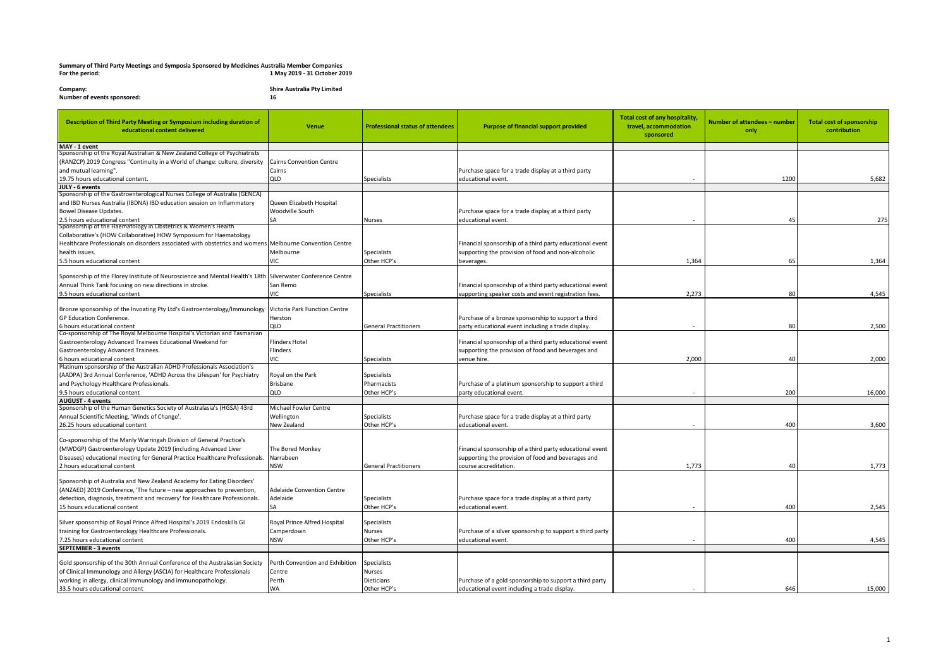## **Summary of Third Party Meetings and Symposia Sponsored by Medicines Australia Member Companies For the period: 1 May 2019 - 31 October 2019**

**Company: Shire Australia Pty Limited Number of events sponsored: 16**

| Description of Third Party Meeting or Symposium including duration of<br>educational content delivered     | <b>Venue</b>                      | <b>Professional status of attendees</b> | <b>Purpose of financial support provided</b>              | <b>Total cost of any hospitality</b><br>travel, accommodation<br>sponsored | Number of attendees - number<br>only | <b>Total cost of sponsorship</b><br>contribution |
|------------------------------------------------------------------------------------------------------------|-----------------------------------|-----------------------------------------|-----------------------------------------------------------|----------------------------------------------------------------------------|--------------------------------------|--------------------------------------------------|
| MAY - 1 event                                                                                              |                                   |                                         |                                                           |                                                                            |                                      |                                                  |
| Sponsorship of the Royal Australian & New Zealand College of Psychiatrists                                 |                                   |                                         |                                                           |                                                                            |                                      |                                                  |
| (RANZCP) 2019 Congress "Continuity in a World of change: culture, diversity                                | <b>Cairns Convention Centre</b>   |                                         |                                                           |                                                                            |                                      |                                                  |
| and mutual learning".                                                                                      | Cairns                            |                                         | Purchase space for a trade display at a third party       |                                                                            |                                      |                                                  |
| 19.75 hours educational content.                                                                           | QLD                               | Specialists                             | educational event.                                        |                                                                            | 1200                                 | 5,682                                            |
| JULY - 6 events                                                                                            |                                   |                                         |                                                           |                                                                            |                                      |                                                  |
| Sponsorship of the Gastroenterological Nurses College of Australia (GENCA)                                 |                                   |                                         |                                                           |                                                                            |                                      |                                                  |
| and IBD Nurses Australia (IBDNA) IBD education session on Inflammatory                                     | Queen Elizabeth Hospital          |                                         |                                                           |                                                                            |                                      |                                                  |
| <b>Bowel Disease Updates.</b>                                                                              | Woodville South                   |                                         | Purchase space for a trade display at a third party       |                                                                            |                                      |                                                  |
| 2.5 hours educational content                                                                              | SA                                | Nurses                                  | educational event.                                        |                                                                            | 45                                   | 275                                              |
| Sponsorship of the Haematology in Obstetrics & Women's Health                                              |                                   |                                         |                                                           |                                                                            |                                      |                                                  |
| Collaborative's (HOW Collaborative) HOW Symposium for Haematology                                          |                                   |                                         |                                                           |                                                                            |                                      |                                                  |
| Healthcare Professionals on disorders associated with obstetrics and womens Melbourne Convention Centre    |                                   |                                         | Financial sponsorship of a third party educational event  |                                                                            |                                      |                                                  |
| health issues.                                                                                             | Melbourne                         | <b>Specialists</b>                      | supporting the provision of food and non-alcoholic        |                                                                            |                                      |                                                  |
| 5.5 hours educational content                                                                              | VIC                               | Other HCP's                             | beverages.                                                | 1.364                                                                      | 65                                   | 1,364                                            |
|                                                                                                            |                                   |                                         |                                                           |                                                                            |                                      |                                                  |
| Sponsorship of the Florey Institute of Neuroscience and Mental Health's 18th Silverwater Conference Centre |                                   |                                         |                                                           |                                                                            |                                      |                                                  |
| Annual Think Tank focusing on new directions in stroke.                                                    | San Remo                          |                                         | Financial sponsorship of a third party educational event  |                                                                            |                                      |                                                  |
| 9.5 hours educational content                                                                              | VIC                               | Specialists                             | supporting speaker costs and event registration fees.     | 2,273                                                                      | 80                                   | 4,545                                            |
|                                                                                                            |                                   |                                         |                                                           |                                                                            |                                      |                                                  |
| Bronze sponsorship of the Invoating Pty Ltd's Gastroenterology/Immunology                                  | Victoria Park Function Centre     |                                         |                                                           |                                                                            |                                      |                                                  |
| <b>GP Education Conference.</b>                                                                            | Herston                           |                                         | Purchase of a bronze sponsorship to support a third       |                                                                            |                                      |                                                  |
| 6 hours educational content                                                                                | QLD                               | <b>General Practitioners</b>            | party educational event including a trade display.        |                                                                            | 80                                   | 2,500                                            |
| Co-sponsorship of The Royal Melbourne Hospital's Victorian and Tasmanian                                   |                                   |                                         |                                                           |                                                                            |                                      |                                                  |
| Gastroenterology Advanced Trainees Educational Weekend for                                                 | <b>Flinders Hotel</b>             |                                         | Financial sponsorship of a third party educational event  |                                                                            |                                      |                                                  |
| Gastroenterology Advanced Trainees.                                                                        | Flinders                          |                                         | supporting the provision of food and beverages and        |                                                                            |                                      |                                                  |
| 6 hours educational content                                                                                | VIC                               | <b>Specialists</b>                      | venue hire.                                               | 2,000                                                                      | 40                                   | 2,000                                            |
| Platinum sponsorship of the Australian ADHD Professionals Association's                                    |                                   |                                         |                                                           |                                                                            |                                      |                                                  |
| (AADPA) 3rd Annual Conference, 'ADHD Across the Lifespan' for Psychiatry                                   | Royal on the Park                 | <b>Specialists</b>                      |                                                           |                                                                            |                                      |                                                  |
| and Psychology Healthcare Professionals.                                                                   | <b>Brisbane</b>                   | Pharmacists                             | Purchase of a platinum sponsorship to support a third     |                                                                            |                                      |                                                  |
| 9.5 hours educational content                                                                              | QLD                               | Other HCP's                             | party educational event                                   |                                                                            | 200                                  | 16,000                                           |
| <b>AUGUST - 4 events</b>                                                                                   |                                   |                                         |                                                           |                                                                            |                                      |                                                  |
| Sponsorship of the Human Genetics Society of Australasia's (HGSA) 43rd                                     | Michael Fowler Centre             |                                         |                                                           |                                                                            |                                      |                                                  |
| Annual Scientific Meeting, 'Winds of Change'.                                                              | Wellington                        | Specialists                             | Purchase space for a trade display at a third party       |                                                                            |                                      |                                                  |
| 26.25 hours educational content                                                                            | New Zealand                       | Other HCP's                             | educational event.                                        |                                                                            | 400                                  | 3,600                                            |
|                                                                                                            |                                   |                                         |                                                           |                                                                            |                                      |                                                  |
| Co-sponsorship of the Manly Warringah Division of General Practice's                                       |                                   |                                         |                                                           |                                                                            |                                      |                                                  |
| (MWDGP) Gastroenterology Update 2019 (including Advanced Liver                                             | The Bored Monkey                  |                                         | Financial sponsorship of a third party educational event  |                                                                            |                                      |                                                  |
| Diseases) educational meeting for General Practice Healthcare Professionals                                | Narrabeen                         |                                         | supporting the provision of food and beverages and        |                                                                            |                                      |                                                  |
| 2 hours educational content                                                                                | <b>NSW</b>                        | <b>General Practitioners</b>            | course accreditation.                                     | 1,773                                                                      | 40                                   | 1,773                                            |
|                                                                                                            |                                   |                                         |                                                           |                                                                            |                                      |                                                  |
| Sponsorship of Australia and New Zealand Academy for Eating Disorders'                                     |                                   |                                         |                                                           |                                                                            |                                      |                                                  |
| (ANZAED) 2019 Conference, 'The future - new approaches to prevention,                                      | <b>Adelaide Convention Centre</b> |                                         |                                                           |                                                                            |                                      |                                                  |
| detection, diagnosis, treatment and recovery' for Healthcare Professionals.                                | Adelaide                          | Specialists                             | Purchase space for a trade display at a third party       |                                                                            |                                      |                                                  |
| 15 hours educational content                                                                               | <b>SA</b>                         | Other HCP's                             | educational event.                                        |                                                                            | 400                                  | 2,545                                            |
|                                                                                                            |                                   |                                         |                                                           |                                                                            |                                      |                                                  |
| Silver sponsorship of Royal Prince Alfred Hospital's 2019 Endoskills GI                                    | Royal Prince Alfred Hospital      | <b>Specialists</b>                      |                                                           |                                                                            |                                      |                                                  |
| training for Gastroenterology Healthcare Professionals.                                                    | Camperdown                        | <b>Nurses</b>                           | Purchase of a silver sponsorship to support a third party |                                                                            |                                      |                                                  |
| 7.25 hours educational content                                                                             | <b>NSW</b>                        | Other HCP's                             | educational event.                                        |                                                                            | 400                                  | 4,545                                            |
| <b>SEPTEMBER - 3 events</b>                                                                                |                                   |                                         |                                                           |                                                                            |                                      |                                                  |
|                                                                                                            |                                   |                                         |                                                           |                                                                            |                                      |                                                  |
| Gold sponsorship of the 30th Annual Conference of the Australasian Society                                 | Perth Convention and Exhibition   | Specialists                             |                                                           |                                                                            |                                      |                                                  |
| of Clinical Immunology and Allergy (ASCIA) for Healthcare Professionals                                    | Centre                            | <b>Nurses</b>                           |                                                           |                                                                            |                                      |                                                  |
| working in allergy, clinical immunology and immunopathology.                                               | Perth                             | <b>Dieticians</b>                       | Purchase of a gold sponsorship to support a third party   |                                                                            |                                      |                                                  |
| 33.5 hours educational content                                                                             | <b>WA</b>                         | Other HCP's                             | educational event including a trade display.              |                                                                            | 646                                  | 15,000                                           |